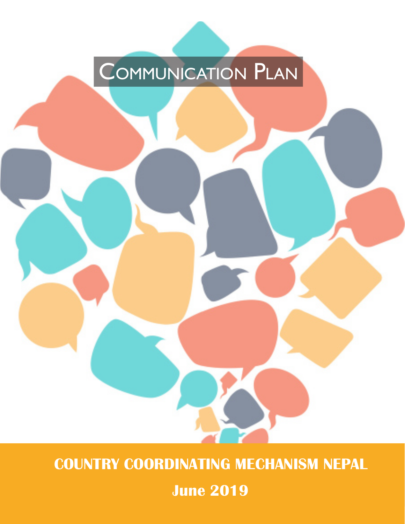# COMMUNICATION PLAN

**COUNTRY COORDINATING MECHANISM NEPAL** 

**2019 June**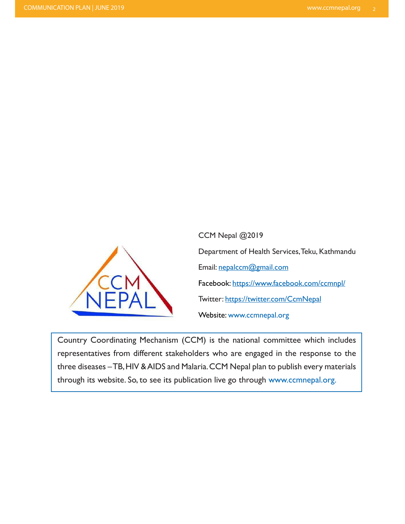

CCM Nepal @ 2019 Department of Health Services, Teku, Kathmandu Email: nepalccm@gmail.com Facebook: https://www.facebook.com/ccmnpl/ Twitter: https://twitter.com/CcmNepal Website: www.ccmnepal.org

Country Coordinating Mechanism (CCM) is the national committee which includes representatives from different stakeholders who are engaged in the response to the three diseases - TB, HIV & AIDS and Malaria. CCM Nepal plan to publish every materials through its website. So, to see its publication live go through www.ccmnepal.org.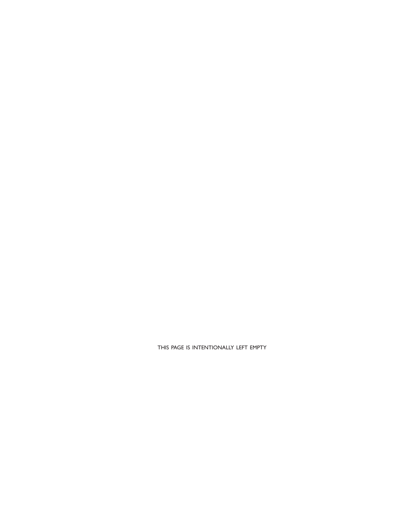THIS PAGE IS INTENTIONALLY LEFT EMPTY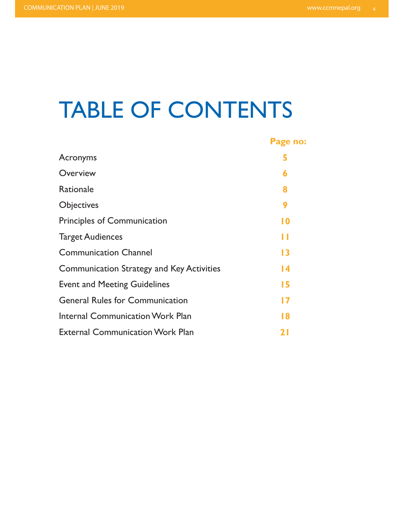## TABLE OF CONTENTS

|                                                  | Page no: |
|--------------------------------------------------|----------|
| Acronyms                                         | 5        |
| Overview                                         | 6        |
| Rationale                                        | 8        |
| <b>Objectives</b>                                | 9        |
| <b>Principles of Communication</b>               | 10       |
| <b>Target Audiences</b>                          | П        |
| <b>Communication Channel</b>                     | 13       |
| <b>Communication Strategy and Key Activities</b> | 14       |
| <b>Event and Meeting Guidelines</b>              | 15       |
| <b>General Rules for Communication</b>           | 17       |
| <b>Internal Communication Work Plan</b>          | 18       |
| <b>External Communication Work Plan</b>          | 21       |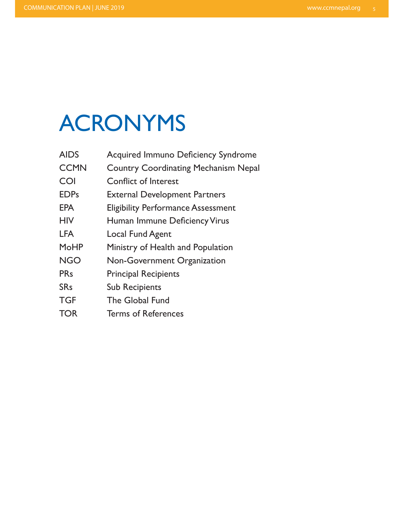# ACRONYMS

| <b>AIDS</b>           | <b>Acquired Immuno Deficiency Syndrome</b>  |
|-----------------------|---------------------------------------------|
| <b>CCMN</b>           | <b>Country Coordinating Mechanism Nepal</b> |
| COI                   | Conflict of Interest                        |
| <b>EDPs</b>           | <b>External Development Partners</b>        |
| <b>EPA</b>            | <b>Eligibility Performance Assessment</b>   |
| <b>HIV</b>            | Human Immune Deficiency Virus               |
| <b>LFA</b>            | Local Fund Agent                            |
| <b>MoHP</b>           | Ministry of Health and Population           |
| <b>NGO</b>            | <b>Non-Government Organization</b>          |
| <b>PRs</b>            | <b>Principal Recipients</b>                 |
| <b>SR<sub>s</sub></b> | <b>Sub Recipients</b>                       |
| <b>TGF</b>            | The Global Fund                             |
| <b>TOR</b>            | <b>Terms of References</b>                  |
|                       |                                             |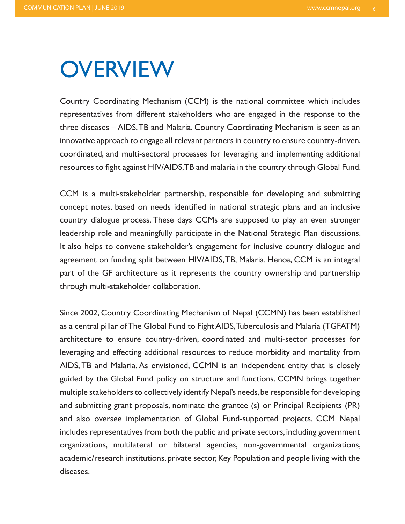### **OVERVIEW**

Country Coordinating Mechanism (CCM) is the national committee which includes representatives from different stakeholders who are engaged in the response to the three diseases - AIDS, TB and Malaria. Country Coordinating Mechanism is seen as an innovative approach to engage all relevant partners in country to ensure country-driven, coordinated, and multi-sectoral processes for leveraging and implementing additional resources to fight against HIV/AIDS, TB and malaria in the country through Global Fund.

CCM is a multi-stakeholder partnership, responsible for developing and submitting concept notes, based on needs identified in national strategic plans and an inclusive country dialogue process. These days CCMs are supposed to play an even stronger leadership role and meaningfully participate in the National Strategic Plan discussions. It also helps to convene stakeholder's engagement for inclusive country dialogue and agreement on funding split between HIV/AIDS, TB, Malaria. Hence, CCM is an integral part of the GF architecture as it represents the country ownership and partnership through multi-stakeholder collaboration.

Since 2002, Country Coordinating Mechanism of Nepal (CCMN) has been established as a central pillar of The Global Fund to Fight AIDS, Tuberculosis and Malaria (TGFATM) architecture to ensure country-driven, coordinated and multi-sector processes for leveraging and effecting additional resources to reduce morbidity and mortality from AIDS, TB and Malaria. As envisioned, CCMN is an independent entity that is closely guided by the Global Fund policy on structure and functions. CCMN brings together multiple stakeholders to collectively identify Nepal's needs, be responsible for developing and submitting grant proposals, nominate the grantee (s) or Principal Recipients (PR) and also oversee implementation of Global Fund-supported projects. CCM Nepal includes representatives from both the public and private sectors, including government organizations, multilateral or bilateral agencies, non-governmental organizations, academic/research institutions, private sector, Key Population and people living with the diseases.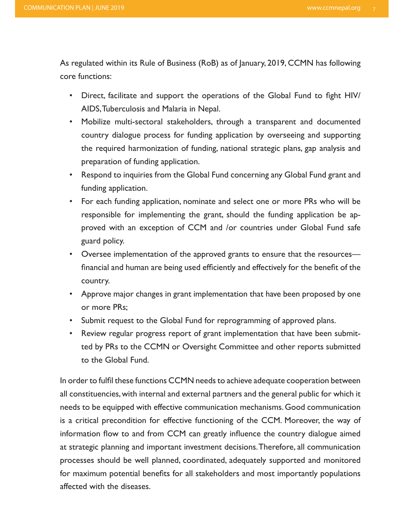As regulated within its Rule of Business (RoB) as of January, 2019, CCMN has following core functions:

- Direct, facilitate and support the operations of the Global Fund to fight HIV/ AIDS, Tuberculosis and Malaria in Nepal.
- Mobilize multi-sectoral stakeholders, through a transparent and documented country dialogue process for funding application by overseeing and supporting the required harmonization of funding, national strategic plans, gap analysis and preparation of funding application.
- Respond to inquiries from the Global Fund concerning any Global Fund grant and funding application.
- For each funding application, nominate and select one or more PRs who will be proved with an exception of CCM and /or countries under Global Fund safe responsible for implementing the grant, should the funding application be apguard policy.
- Oversee implementation of the approved grants to ensure that the resources financial and human are being used efficiently and effectively for the benefit of the .country
- Approve major changes in grant implementation that have been proposed by one or more PRs:
- Submit request to the Global Fund for reprogramming of approved plans.
- ted by PRs to the CCMN or Oversight Committee and other reports submitted • Review regular progress report of grant implementation that have been submitto the Global Fund.

In order to fulfil these functions CCMN needs to achieve adequate cooperation between all constituencies, with internal and external partners and the general public for which it needs to be equipped with effective communication mechanisms. Good communication is a critical precondition for effective functioning of the CCM. Moreover, the way of information flow to and from CCM can greatly influence the country dialogue aimed at strategic planning and important investment decisions. Therefore, all communication processes should be well planned, coordinated, adequately supported and monitored for maximum potential benefits for all stakeholders and most importantly populations affected with the diseases.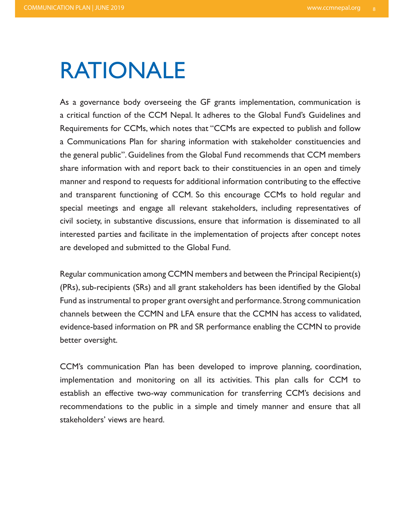### RATIONALE

As a governance body overseeing the GF grants implementation, communication is a critical function of the CCM Nepal. It adheres to the Global Fund's Guidelines and Requirements for CCMs, which notes that "CCMs are expected to publish and follow a Communications Plan for sharing information with stakeholder constituencies and the general public". Guidelines from the Global Fund recommends that CCM members share information with and report back to their constituencies in an open and timely manner and respond to requests for additional information contributing to the effective and transparent functioning of CCM. So this encourage CCMs to hold regular and special meetings and engage all relevant stakeholders, including representatives of civil society, in substantive discussions, ensure that information is disseminated to all interested parties and facilitate in the implementation of projects after concept notes are developed and submitted to the Global Fund.

Regular communication among CCMN members and between the Principal Recipient(s) (PRs), sub-recipients (SRs) and all grant stakeholders has been identified by the Global Fund as instrumental to proper grant oversight and performance. Strong communication channels between the CCMN and LFA ensure that the CCMN has access to validated, evidence-based information on PR and SR performance enabling the CCMN to provide better oversight.

CCM's communication Plan has been developed to improve planning, coordination, implementation and monitoring on all its activities. This plan calls for CCM to establish an effective two-way communication for transferring CCM's decisions and recommendations to the public in a simple and timely manner and ensure that all stakeholders' views are heard.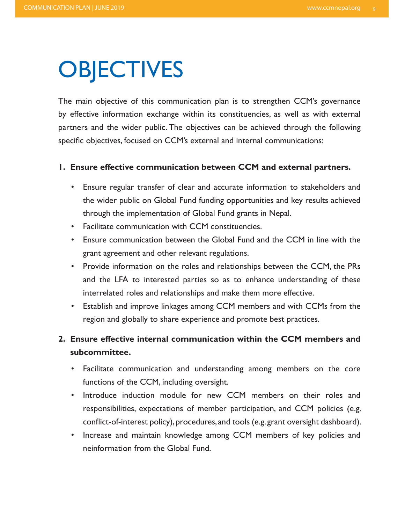## **OBJECTIVES**

The main objective of this communication plan is to strengthen CCM's governance by effective information exchange within its constituencies, as well as with external partners and the wider public. The objectives can be achieved through the following specific objectives, focused on CCM's external and internal communications:

#### **1. Ensure effective communication between CCM and external partners.**

- Ensure regular transfer of clear and accurate information to stakeholders and the wider public on Global Fund funding opportunities and key results achieved through the implementation of Global Fund grants in Nepal.
- Facilitate communication with CCM constituencies.
- Ensure communication between the Global Fund and the CCM in line with the grant agreement and other relevant regulations.
- Provide information on the roles and relationships between the CCM, the PRs and the LFA to interested parties so as to enhance understanding of these interrelated roles and relationships and make them more effective.
- Establish and improve linkages among CCM members and with CCMs from the region and globally to share experience and promote best practices.

### **2. Ensure effective internal communication within the CCM members and .subcommittee**

- Facilitate communication and understanding among members on the core functions of the CCM, including oversight.
- Introduce induction module for new CCM members on their roles and responsibilities, expectations of member participation, and CCM policies (e.g. conflict-of-interest policy), procedures, and tools (e.g. grant oversight dashboard).
- Increase and maintain knowledge among CCM members of key policies and neinformation from the Global Fund.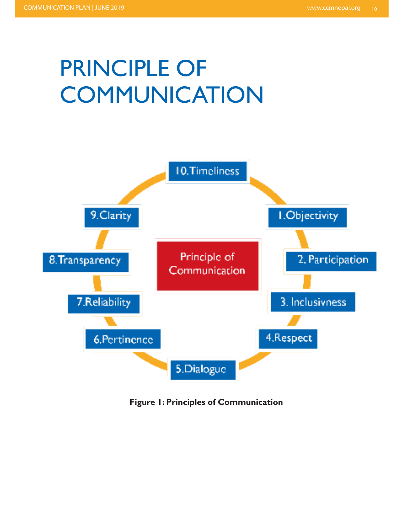# PRINCIPLE OF **COMMUNICATION**



**Figure 1: Principles of Communication**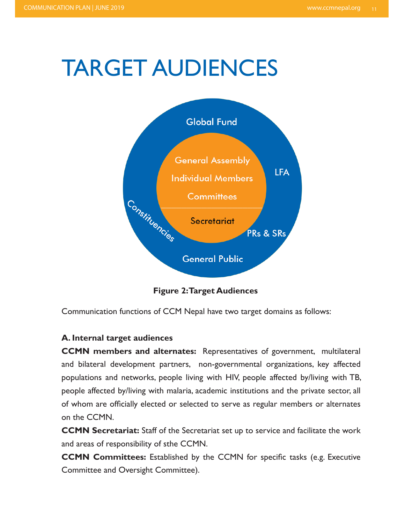## **TARGET AUDIENCES**



**Figure 2: Target Audiences** 

Communication functions of CCM Nepal have two target domains as follows:

### **A. Internal target audiences**

**CCMN** members and alternates: Representatives of government, multilateral and bilateral development partners, non-governmental organizations, key affected populations and networks, people living with HIV, people affected by/living with TB, people affected by/living with malaria, academic institutions and the private sector, all of whom are officially elected or selected to serve as regular members or alternates on the CCMN.

**CCMN Secretariat:** Staff of the Secretariat set up to service and facilitate the work and areas of responsibility of sthe CCMN.

**CCMN Committees:** Established by the CCMN for specific tasks (e.g. Executive Committee and Oversight Committee).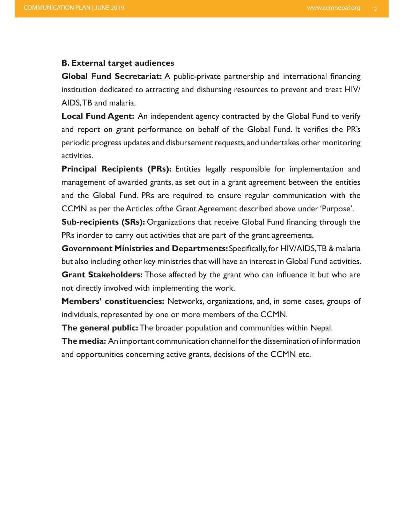#### **B. External target audiences**

**Global Fund Secretariat:** A public-private partnership and international financing institution dedicated to attracting and disbursing resources to prevent and treat HIV/ AIDS, TB and malaria.

**Local Fund Agent:** An independent agency contracted by the Global Fund to verify and report on grant performance on behalf of the Global Fund. It verifies the PR's periodic progress updates and disbursement requests, and undertakes other monitoring .activities

**Principal Recipients (PRs):** Entities legally responsible for implementation and management of awarded grants, as set out in a grant agreement between the entities and the Global Fund. PRs are required to ensure regular communication with the CCMN as per the Articles of the Grant Agreement described above under 'Purpose'.

**Sub-recipients (SRs):** Organizations that receive Global Fund financing through the PRs inorder to carry out activities that are part of the grant agreements.

**Government Ministries and Departments:** Specifically, for HIV/AIDS, TB & malaria but also including other key ministries that will have an interest in Global Fund activities. **Grant Stakeholders:** Those affected by the grant who can influence it but who are not directly involved with implementing the work.

**Members' constituencies:** Networks, organizations, and, in some cases, groups of individuals, represented by one or more members of the CCMN.

**The general public:** The broader population and communities within Nepal.

**The media:** An important communication channel for the dissemination of information and opportunities concerning active grants, decisions of the CCMN etc.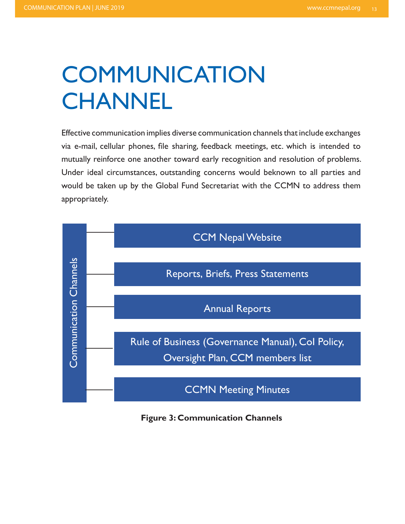# **COMMUNICATION CHANNEL**

Effective communication implies diverse communication channels that include exchanges via e-mail, cellular phones, file sharing, feedback meetings, etc. which is intended to mutually reinforce one another toward early recognition and resolution of problems. Under ideal circumstances, outstanding concerns would beknown to all parties and would be taken up by the Global Fund Secretariat with the CCMN to address them .appropriately



**Figure 3: Communication Channels**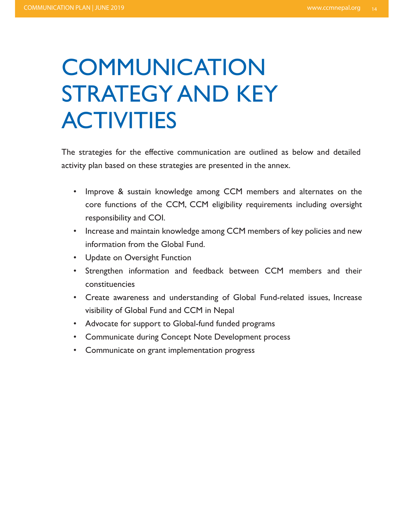# **COMMUNICATION** STRATEGY AND KEY **ACTIVITIES**

The strategies for the effective communication are outlined as below and detailed activity plan based on these strategies are presented in the annex.

- Improve & sustain knowledge among CCM members and alternates on the core functions of the CCM, CCM eligibility requirements including oversight responsibility and COI.
- Increase and maintain knowledge among CCM members of key policies and new information from the Global Fund.
- Update on Oversight Function
- Strengthen information and feedback between CCM members and their constituencies
- Create awareness and understanding of Global Fund-related issues, Increase visibility of Global Fund and CCM in Nepal
- Advocate for support to Global-fund funded programs
- Communicate during Concept Note Development process
- Communicate on grant implementation progress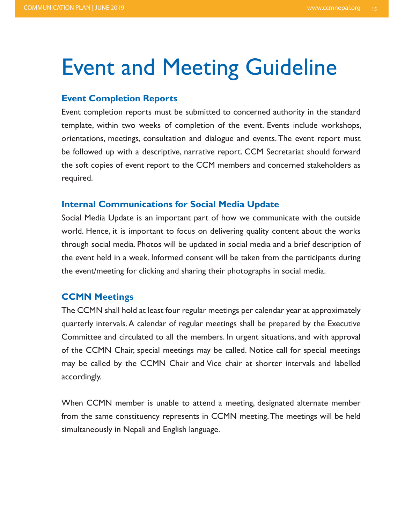### **Event and Meeting Guideline**

### **Event Completion Reports**

Event completion reports must be submitted to concerned authority in the standard template, within two weeks of completion of the event. Events include workshops, orientations, meetings, consultation and dialogue and events. The event report must be followed up with a descriptive, narrative report. CCM Secretariat should forward the soft copies of event report to the CCM members and concerned stakeholders as .required

### **Internal Communications for Social Media Update**

Social Media Update is an important part of how we communicate with the outside world. Hence, it is important to focus on delivering quality content about the works through social media. Photos will be updated in social media and a brief description of the event held in a week. Informed consent will be taken from the participants during the event/meeting for clicking and sharing their photographs in social media.

### **CCMN** Meetings

The CCMN shall hold at least four regular meetings per calendar year at approximately quarterly intervals. A calendar of regular meetings shall be prepared by the Executive Committee and circulated to all the members. In urgent situations, and with approval of the CCMN Chair, special meetings may be called. Notice call for special meetings may be called by the CCMN Chair and Vice chair at shorter intervals and labelled accordingly.

When CCMN member is unable to attend a meeting, designated alternate member from the same constituency represents in CCMN meeting. The meetings will be held simultaneously in Nepali and English language.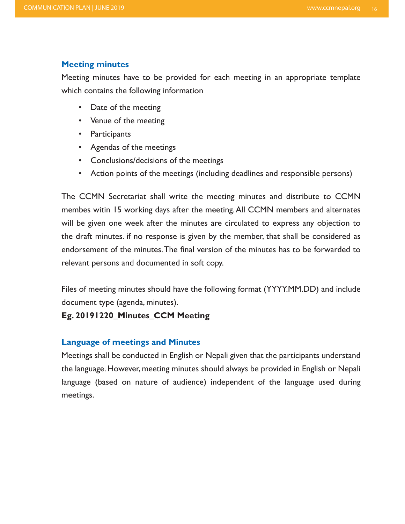### **Meeting minutes**

Meeting minutes have to be provided for each meeting in an appropriate template which contains the following information

- Date of the meeting
- Venue of the meeting
- Participants
- Agendas of the meetings
- Conclusions/decisions of the meetings
- Action points of the meetings (including deadlines and responsible persons)

The CCMN Secretariat shall write the meeting minutes and distribute to CCMN membes witin 15 working days after the meeting. All CCMN members and alternates will be given one week after the minutes are circulated to express any objection to the draft minutes. if no response is given by the member, that shall be considered as endorsement of the minutes. The final version of the minutes has to be forwarded to relevant persons and documented in soft copy.

Files of meeting minutes should have the following format (YYYY.MM.DD) and include document type (agenda, minutes).

### **Eg. 20191220\_Minutes\_CCM Meeting**

### **Language of meetings and Minutes**

Meetings shall be conducted in English or Nepali given that the participants understand the language. However, meeting minutes should always be provided in English or Nepali language (based on nature of audience) independent of the language used during .meetings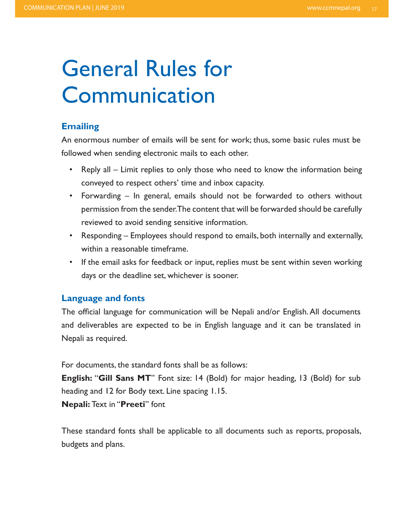## **General Rules for** Communication

### **Emailing**

An enormous number of emails will be sent for work; thus, some basic rules must be followed when sending electronic mails to each other.

- Reply all Limit replies to only those who need to know the information being conveyed to respect others' time and inbox capacity.
- Forwarding In general, emails should not be forwarded to others without permission from the sender. The content that will be forwarded should be carefully reviewed to avoid sending sensitive information.
- Responding Employees should respond to emails, both internally and externally, within a reasonable timeframe.
- If the email asks for feedback or input, replies must be sent within seven working days or the deadline set, whichever is sooner.

### **Language and fonts**

The official language for communication will be Nepali and/or English. All documents and deliverables are expected to be in English language and it can be translated in Nepali as required.

For documents, the standard fonts shall be as follows:

**English: "Gill Sans MT"** Font size: 14 (Bold) for major heading, 13 (Bold) for sub heading and 12 for Body text. Line spacing  $1.15$ .

**Nepali: Text in "Preeti"** font

These standard fonts shall be applicable to all documents such as reports, proposals, budgets and plans.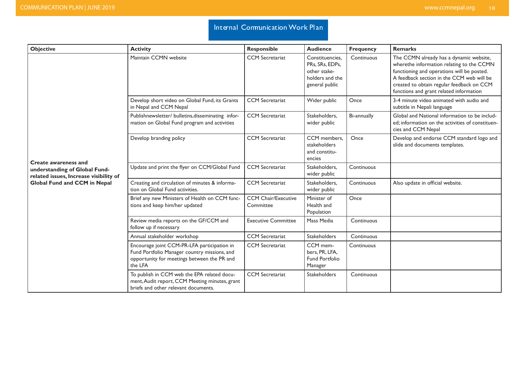### Internal Communication Work Plan

| <b>Objective</b>                                                                                       | <b>Activity</b>                                                                                                                                       | <b>Responsible</b>                      | <b>Audience</b>                                                                         | Frequency   | <b>Remarks</b>                                                                                                                                                                                                                                                          |
|--------------------------------------------------------------------------------------------------------|-------------------------------------------------------------------------------------------------------------------------------------------------------|-----------------------------------------|-----------------------------------------------------------------------------------------|-------------|-------------------------------------------------------------------------------------------------------------------------------------------------------------------------------------------------------------------------------------------------------------------------|
|                                                                                                        | Maintain CCMN website                                                                                                                                 | <b>CCM</b> Secretariat                  | Constituencies.<br>PRs, SRs, EDPs,<br>other stake-<br>holders and the<br>general public | Continuous  | The CCMN already has a dynamic website,<br>wherethe information relating to the CCMN<br>functioning and operations will be posted.<br>A feedback section in the CCM web will be<br>created to obtain regular feedback on CCM<br>functions and grant related information |
|                                                                                                        | Develop short video on Global Fund, its Grants<br>in Nepal and CCM Nepal                                                                              | <b>CCM</b> Secretariat                  | Wider public                                                                            | Once        | 3-4 minute video animated with audio and<br>subtitle in Nepali language                                                                                                                                                                                                 |
|                                                                                                        | Publishnewsletter/ bulletins, disseminating infor-<br>mation on Global Fund program and activities                                                    | <b>CCM</b> Secretariat                  | Stakeholders,<br>wider public                                                           | Bi-annually | Global and National information to be includ-<br>ed; information on the activities of constituen-<br>cies and CCM Nepal                                                                                                                                                 |
|                                                                                                        | Develop branding policy                                                                                                                               | <b>CCM</b> Secretariat                  | CCM members.<br>stakeholders<br>and constitu-<br>encies                                 | Once        | Develop and endorse CCM standard logo and<br>slide and documents templates.                                                                                                                                                                                             |
| <b>Create awareness and</b><br>understanding of Global Fund-<br>related issues, Increase visibility of | Update and print the flyer on CCM/Global Fund                                                                                                         | <b>CCM</b> Secretariat                  | Stakeholders,<br>wider public                                                           | Continuous  |                                                                                                                                                                                                                                                                         |
| <b>Global Fund and CCM in Nepal</b>                                                                    | Creating and circulation of minutes & informa-<br>tion on Global Fund activities.                                                                     | <b>CCM</b> Secretariat                  | Stakeholders.<br>wider public                                                           | Continuous  | Also update in official website.                                                                                                                                                                                                                                        |
|                                                                                                        | Brief any new Ministers of Health on CCM func-<br>tions and keep him/her updated                                                                      | <b>CCM Chair/Executive</b><br>Committee | Minister of<br>Health and<br>Population                                                 | Once        |                                                                                                                                                                                                                                                                         |
|                                                                                                        | Review media reports on the GF/CCM and<br>follow up if necessary                                                                                      | <b>Executive Committee</b>              | Mass Media                                                                              | Continuous  |                                                                                                                                                                                                                                                                         |
|                                                                                                        | Annual stakeholder workshop                                                                                                                           | <b>CCM</b> Secretariat                  | <b>Stakeholders</b>                                                                     | Continuous  |                                                                                                                                                                                                                                                                         |
|                                                                                                        | Encourage joint CCM-PR-LFA participation in<br>Fund Portfolio Manager country missions, and<br>opportunity for meetings between the PR and<br>the LFA | <b>CCM</b> Secretariat                  | CCM mem-<br>bers, PR, LFA,<br>Fund Portfolio<br>Manager                                 | Continuous  |                                                                                                                                                                                                                                                                         |
|                                                                                                        | To publish in CCM web the EPA related docu-<br>ment, Audit report, CCM Meeting minutes, grant<br>briefs and other relevant documents.                 | <b>CCM</b> Secretariat                  | <b>Stakeholders</b>                                                                     | Continuous  |                                                                                                                                                                                                                                                                         |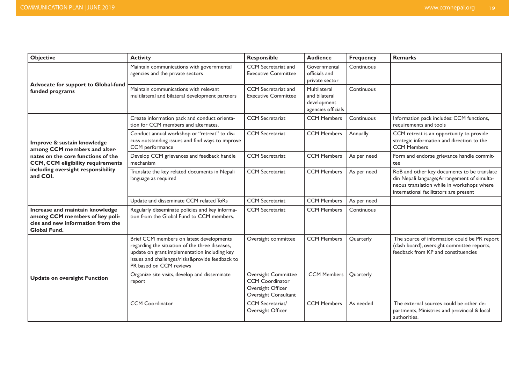| <b>Objective</b>                                                                                                              | <b>Activity</b>                                                                                                                                                                                                          | <b>Responsible</b>                                                                         | <b>Audience</b>                                                    | <b>Frequency</b> | <b>Remarks</b>                                                                                                                                                                      |
|-------------------------------------------------------------------------------------------------------------------------------|--------------------------------------------------------------------------------------------------------------------------------------------------------------------------------------------------------------------------|--------------------------------------------------------------------------------------------|--------------------------------------------------------------------|------------------|-------------------------------------------------------------------------------------------------------------------------------------------------------------------------------------|
| Advocate for support to Global-fund<br>funded programs                                                                        | Maintain communications with governmental<br>agencies and the private sectors                                                                                                                                            | CCM Secretariat and<br><b>Executive Committee</b>                                          | Governmental<br>officials and<br>private sector                    | Continuous       |                                                                                                                                                                                     |
|                                                                                                                               | Maintain communications with relevant<br>multilateral and bilateral development partners                                                                                                                                 | CCM Secretariat and<br><b>Executive Committee</b>                                          | Multilateral<br>and bilateral<br>development<br>agencies officials | Continuous       |                                                                                                                                                                                     |
|                                                                                                                               | Create information pack and conduct orienta-<br>tion for CCM members and alternates.                                                                                                                                     | <b>CCM</b> Secretariat                                                                     | <b>CCM Members</b>                                                 | Continuous       | Information pack includes: CCM functions,<br>requirements and tools                                                                                                                 |
| Improve & sustain knowledge<br>among CCM members and alter-                                                                   | Conduct annual workshop or "retreat" to dis-<br>cuss outstanding issues and find ways to improve<br>CCM performance                                                                                                      | <b>CCM</b> Secretariat                                                                     | <b>CCM Members</b>                                                 | Annually         | CCM retreat is an opportunity to provide<br>strategic information and direction to the<br><b>CCM Members</b>                                                                        |
| nates on the core functions of the<br><b>CCM, CCM eligibility requirements</b>                                                | Develop CCM grievances and feedback handle<br>mechanism                                                                                                                                                                  | <b>CCM</b> Secretariat                                                                     | <b>CCM Members</b>                                                 | As per need      | Form and endorse grievance handle commit-<br>tee                                                                                                                                    |
| including oversight responsibility<br>and COI.                                                                                | Translate the key related documents in Nepali<br>language as required                                                                                                                                                    | <b>CCM</b> Secretariat                                                                     | <b>CCM Members</b>                                                 | As per need      | RoB and other key documents to be translate<br>din Nepali language; Arrangement of simulta-<br>neous translation while in workshops where<br>international facilitators are present |
|                                                                                                                               | Update and disseminate CCM related ToRs                                                                                                                                                                                  | <b>CCM</b> Secretariat                                                                     | <b>CCM Members</b>                                                 | As per need      |                                                                                                                                                                                     |
| Increase and maintain knowledge<br>among CCM members of key poli-<br>cies and new information from the<br><b>Global Fund.</b> | Regularly disseminate policies and key informa-<br>tion from the Global Fund to CCM members.                                                                                                                             | <b>CCM</b> Secretariat                                                                     | <b>CCM Members</b>                                                 | Continuous       |                                                                                                                                                                                     |
| <b>Update on oversight Function</b>                                                                                           | Brief CCM members on latest developments<br>regarding the situation of the three diseases,<br>update on grant implementation including key<br>issues and challenges/risks&provide feedback to<br>PR based on CCM reviews | Oversight committee                                                                        | <b>CCM Members</b>                                                 | Quarterly        | The source of information could be PR report<br>(dash board), oversight committee reports,<br>feedback from KP and constituencies                                                   |
|                                                                                                                               | Organize site visits, develop and disseminate<br>report                                                                                                                                                                  | Oversight Committee<br><b>CCM</b> Coordinator<br>Oversight Officer<br>Oversight Consultant | <b>CCM Members</b>                                                 | Quarterly        |                                                                                                                                                                                     |
|                                                                                                                               | <b>CCM Coordinator</b>                                                                                                                                                                                                   | CCM Secretariat/<br>Oversight Officer                                                      | <b>CCM Members</b>                                                 | As needed        | The external sources could be other de-<br>partments, Ministries and provincial & local<br>authorities.                                                                             |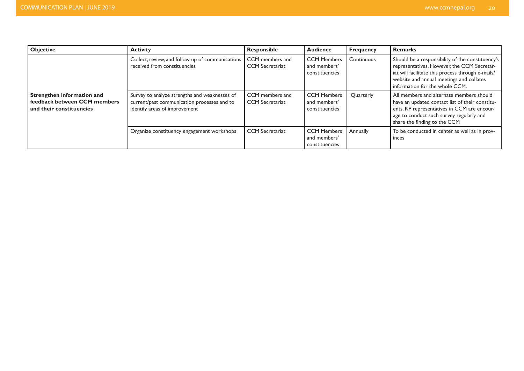| <b>Objective</b>                                                                       | <b>Activity</b>                                                                                                               | Responsible                               | <b>Audience</b>                                      | <b>Frequency</b> | Remarks                                                                                                                                                                                                                            |
|----------------------------------------------------------------------------------------|-------------------------------------------------------------------------------------------------------------------------------|-------------------------------------------|------------------------------------------------------|------------------|------------------------------------------------------------------------------------------------------------------------------------------------------------------------------------------------------------------------------------|
| Strengthen information and<br>feedback between CCM members<br>and their constituencies | Collect, review, and follow up of communications<br>received from constituencies                                              | CCM members and<br><b>CCM</b> Secretariat | <b>CCM Members</b><br>and members'<br>constituencies | Continuous       | Should be a responsibility of the constituency's<br>representatives. However, the CCM Secretar-<br>iat will facilitate this process through e-mails/<br>website and annual meetings and collates<br>information for the whole CCM. |
|                                                                                        | Survey to analyze strengths and weaknesses of<br>current/past communication processes and to<br>identify areas of improvement | CCM members and<br><b>CCM</b> Secretariat | <b>CCM Members</b><br>and members'<br>constituencies | Quarterly        | All members and alternate members should<br>have an updated contact list of their constitu-<br>ents. KP representatives in CCM are encour-<br>age to conduct such survey regularly and<br>share the finding to the CCM             |
|                                                                                        | Organize constituency engagement workshops                                                                                    | <b>CCM</b> Secretariat                    | <b>CCM Members</b><br>and members'<br>constituencies | Annually         | To be conducted in center as well as in prov-<br>inces                                                                                                                                                                             |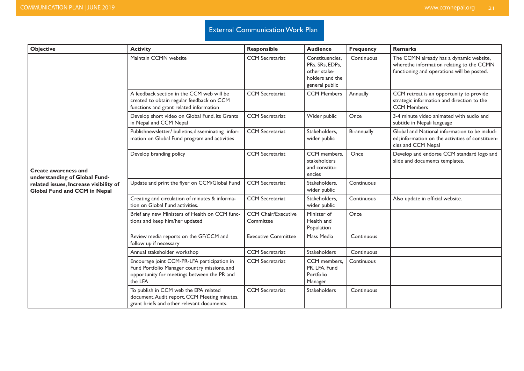### **External Communication Work Plan**

| <b>Objective</b>                                                       | <b>Activity</b>                                                                                                                                       | <b>Responsible</b>                      | <b>Audience</b>                                                                         | <b>Frequency</b> | <b>Remarks</b>                                                                                                                     |
|------------------------------------------------------------------------|-------------------------------------------------------------------------------------------------------------------------------------------------------|-----------------------------------------|-----------------------------------------------------------------------------------------|------------------|------------------------------------------------------------------------------------------------------------------------------------|
|                                                                        | Maintain CCMN website                                                                                                                                 | <b>CCM</b> Secretariat                  | Constituencies.<br>PRs, SRs, EDPs,<br>other stake-<br>holders and the<br>general public | Continuous       | The CCMN already has a dynamic website,<br>wherethe information relating to the CCMN<br>functioning and operations will be posted. |
|                                                                        | A feedback section in the CCM web will be<br>created to obtain regular feedback on CCM<br>functions and grant related information                     | <b>CCM</b> Secretariat                  | <b>CCM Members</b>                                                                      | Annually         | CCM retreat is an opportunity to provide<br>strategic information and direction to the<br><b>CCM Members</b>                       |
|                                                                        | Develop short video on Global Fund, its Grants<br>in Nepal and CCM Nepal                                                                              | <b>CCM</b> Secretariat                  | Wider public                                                                            | Once             | 3-4 minute video animated with audio and<br>subtitle in Nepali language                                                            |
| <b>Create awareness and</b><br>understanding of Global Fund-           | Publishnewsletter/ bulletins, disseminating infor-<br>mation on Global Fund program and activities                                                    | <b>CCM</b> Secretariat                  | Stakeholders,<br>wider public                                                           | Bi-annually      | Global and National information to be includ-<br>ed; information on the activities of constituen-<br>cies and CCM Nepal            |
|                                                                        | Develop branding policy                                                                                                                               | <b>CCM</b> Secretariat                  | CCM members,<br>stakeholders<br>and constitu-<br>encies                                 | Once             | Develop and endorse CCM standard logo and<br>slide and documents templates.                                                        |
| related issues, Increase visibility of<br>Global Fund and CCM in Nepal | Update and print the flyer on CCM/Global Fund                                                                                                         | <b>CCM</b> Secretariat                  | Stakeholders,<br>wider public                                                           | Continuous       |                                                                                                                                    |
|                                                                        | Creating and circulation of minutes & informa-<br>tion on Global Fund activities.                                                                     | <b>CCM</b> Secretariat                  | Stakeholders,<br>wider public                                                           | Continuous       | Also update in official website.                                                                                                   |
|                                                                        | Brief any new Ministers of Health on CCM func-<br>tions and keep him/her updated                                                                      | <b>CCM Chair/Executive</b><br>Committee | Minister of<br>Health and<br>Population                                                 | Once             |                                                                                                                                    |
|                                                                        | Review media reports on the GF/CCM and<br>follow up if necessary                                                                                      | <b>Executive Committee</b>              | Mass Media                                                                              | Continuous       |                                                                                                                                    |
|                                                                        | Annual stakeholder workshop                                                                                                                           | <b>CCM</b> Secretariat                  | Stakeholders                                                                            | Continuous       |                                                                                                                                    |
|                                                                        | Encourage joint CCM-PR-LFA participation in<br>Fund Portfolio Manager country missions, and<br>opportunity for meetings between the PR and<br>the LFA | <b>CCM</b> Secretariat                  | CCM members.<br>PR, LFA, Fund<br>Portfolio<br>Manager                                   | Continuous       |                                                                                                                                    |
|                                                                        | To publish in CCM web the EPA related<br>document, Audit report, CCM Meeting minutes,<br>grant briefs and other relevant documents.                   | <b>CCM</b> Secretariat                  | Stakeholders                                                                            | Continuous       |                                                                                                                                    |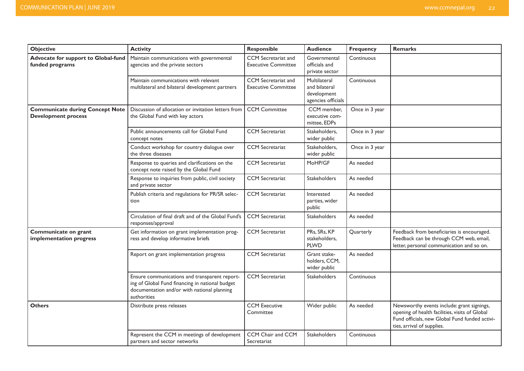| <b>Objective</b>                                                     | <b>Activity</b>                                                                                                                                                | <b>Responsible</b>                                | <b>Audience</b>                                                    | <b>Frequency</b> | Remarks                                                                                                                                                                      |
|----------------------------------------------------------------------|----------------------------------------------------------------------------------------------------------------------------------------------------------------|---------------------------------------------------|--------------------------------------------------------------------|------------------|------------------------------------------------------------------------------------------------------------------------------------------------------------------------------|
| Advocate for support to Global-fund<br>funded programs               | Maintain communications with governmental<br>agencies and the private sectors                                                                                  | CCM Secretariat and<br><b>Executive Committee</b> | Governmental<br>officials and<br>private sector                    | Continuous       |                                                                                                                                                                              |
|                                                                      | Maintain communications with relevant<br>multilateral and bilateral development partners                                                                       | CCM Secretariat and<br><b>Executive Committee</b> | Multilateral<br>and bilateral<br>development<br>agencies officials | Continuous       |                                                                                                                                                                              |
| <b>Communicate during Concept Note</b><br><b>Development process</b> | Discussion of allocation or invitation letters from<br>the Global Fund with key actors                                                                         | <b>CCM Committee</b>                              | CCM member,<br>executive com-<br>mittee, EDPs                      | Once in 3 year   |                                                                                                                                                                              |
|                                                                      | Public announcements call for Global Fund<br>concept notes                                                                                                     | <b>CCM</b> Secretariat                            | Stakeholders,<br>wider public                                      | Once in 3 year   |                                                                                                                                                                              |
|                                                                      | Conduct workshop for country dialogue over<br>the three diseases                                                                                               | <b>CCM</b> Secretariat                            | Stakeholders,<br>wider public                                      | Once in 3 year   |                                                                                                                                                                              |
|                                                                      | Response to queries and clarifications on the<br>concept note raised by the Global Fund                                                                        | <b>CCM</b> Secretariat                            | MoHP/GF                                                            | As needed        |                                                                                                                                                                              |
|                                                                      | Response to inquiries from public, civil society<br>and private sector                                                                                         | <b>CCM</b> Secretariat                            | Stakeholders                                                       | As needed        |                                                                                                                                                                              |
|                                                                      | Publish criteria and regulations for PR/SR selec-<br>tion                                                                                                      | <b>CCM</b> Secretariat                            | Interested<br>parties, wider<br>public                             | As needed        |                                                                                                                                                                              |
|                                                                      | Circulation of final draft and of the Global Fund's<br>responses/approval                                                                                      | <b>CCM</b> Secretariat                            | <b>Stakeholders</b>                                                | As needed        |                                                                                                                                                                              |
| Communicate on grant<br>implementation progress                      | Get information on grant implementation prog-<br>ress and develop informative briefs                                                                           | <b>CCM</b> Secretariat                            | PRs, SRs, KP<br>stakeholders,<br><b>PLWD</b>                       | Quarterly        | Feedback from beneficiaries is encouraged.<br>Feedback can be through CCM web, email,<br>letter, personal communication and so on.                                           |
|                                                                      | Report on grant implementation progress                                                                                                                        | <b>CCM</b> Secretariat                            | Grant stake-<br>holders, CCM,<br>wider public                      | As needed        |                                                                                                                                                                              |
|                                                                      | Ensure communications and transparent report-<br>ing of Global Fund financing in national budget<br>documentation and/or with national planning<br>authorities | <b>CCM</b> Secretariat                            | <b>Stakeholders</b>                                                | Continuous       |                                                                                                                                                                              |
| <b>Others</b>                                                        | Distribute press releases                                                                                                                                      | <b>CCM Executive</b><br>Committee                 | Wider public                                                       | As needed        | Newsworthy events include: grant signings,<br>opening of health facilities, visits of Global<br>Fund officials, new Global Fund funded activi-<br>ties, arrival of supplies. |
|                                                                      | Represent the CCM in meetings of development<br>partners and sector networks                                                                                   | CCM Chair and CCM<br>Secretariat                  | Stakeholders                                                       | Continuous       |                                                                                                                                                                              |